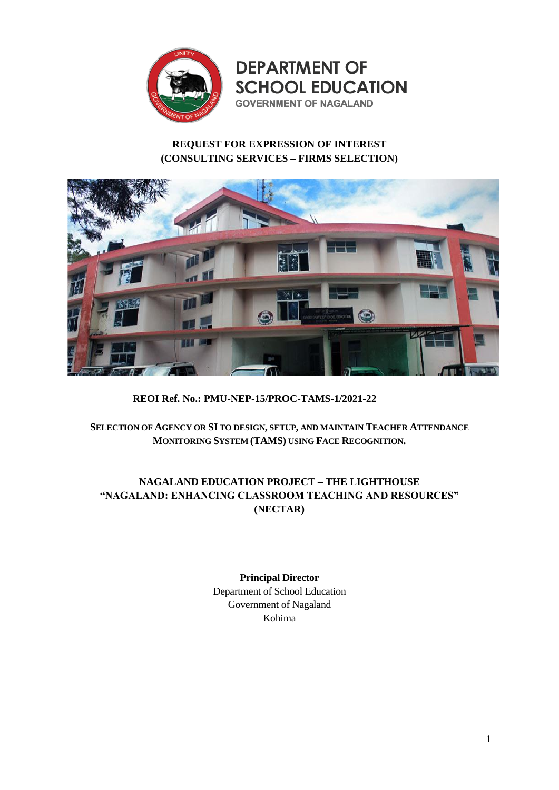

**DEPARTMENT OF SCHOOL EDUCATION GOVERNMENT OF NAGALAND** 

# **REQUEST FOR EXPRESSION OF INTEREST (CONSULTING SERVICES – FIRMS SELECTION)**



**REOI Ref. No.: PMU-NEP-15/PROC-TAMS-1/2021-22**

# **SELECTION OF AGENCY OR SI TO DESIGN, SETUP, AND MAINTAIN TEACHER ATTENDANCE MONITORING SYSTEM (TAMS) USING FACE RECOGNITION.**

# **NAGALAND EDUCATION PROJECT – THE LIGHTHOUSE "NAGALAND: ENHANCING CLASSROOM TEACHING AND RESOURCES" (NECTAR)**

# **Principal Director**

Department of School Education Government of Nagaland Kohima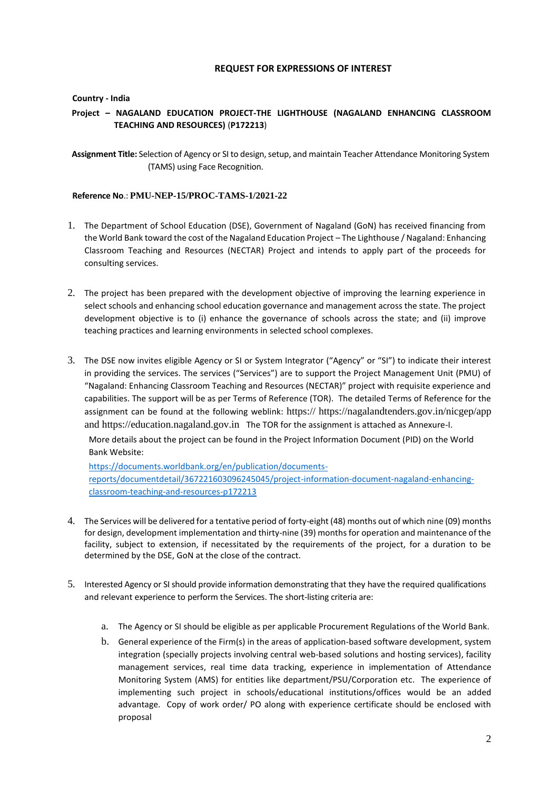## **REQUEST FOR EXPRESSIONS OF INTEREST**

## **Country - India**

# **Project – NAGALAND EDUCATION PROJECT-THE LIGHTHOUSE (NAGALAND ENHANCING CLASSROOM TEACHING AND RESOURCES)** (**P172213**)

**Assignment Title:** Selection of Agency or SI to design, setup, and maintain Teacher Attendance Monitoring System (TAMS) using Face Recognition.

## **Reference No**.: **PMU-NEP-15/PROC-TAMS-1/2021-22**

- 1. The Department of School Education (DSE), Government of Nagaland (GoN) has received financing from the World Bank toward the cost of the Nagaland Education Project – The Lighthouse / Nagaland: Enhancing Classroom Teaching and Resources (NECTAR) Project and intends to apply part of the proceeds for consulting services.
- 2. The project has been prepared with the development objective of improving the learning experience in select schools and enhancing school education governance and management across the state. The project development objective is to (i) enhance the governance of schools across the state; and (ii) improve teaching practices and learning environments in selected school complexes.
- 3. The DSE now invites eligible Agency or SI or System Integrator ("Agency" or "SI") to indicate their interest in providing the services. The services ("Services") are to support the Project Management Unit (PMU) of "Nagaland: Enhancing Classroom Teaching and Resources (NECTAR)" project with requisite experience and capabilities. The support will be as per Terms of Reference (TOR). The detailed Terms of Reference for the assignment can be found at the following weblink: https:// [https://nagalandtenders.gov.in/nicgep/app](https://nagalandtenders.gov.in/) and https://education.nagaland.gov.in The TOR for the assignment is attached as Annexure-I. More details about the project can be found in the Project Information Document (PID) on the World Bank Website:

[https://documents.worldbank.org/en/publication/documents](https://documents.worldbank.org/en/publication/documents-reports/documentdetail/367221603096245045/project-information-document-nagaland-enhancing-classroom-teaching-and-resources-p172213)[reports/documentdetail/367221603096245045/project-information-document-nagaland-enhancing](https://documents.worldbank.org/en/publication/documents-reports/documentdetail/367221603096245045/project-information-document-nagaland-enhancing-classroom-teaching-and-resources-p172213)[classroom-teaching-and-resources-p172213](https://documents.worldbank.org/en/publication/documents-reports/documentdetail/367221603096245045/project-information-document-nagaland-enhancing-classroom-teaching-and-resources-p172213)

- 4. The Services will be delivered for a tentative period of forty-eight (48) months out of which nine (09) months for design, development implementation and thirty-nine (39) months for operation and maintenance of the facility, subject to extension, if necessitated by the requirements of the project, for a duration to be determined by the DSE, GoN at the close of the contract.
- 5. Interested Agency or SIshould provide information demonstrating that they have the required qualifications and relevant experience to perform the Services. The short-listing criteria are:
	- a. The Agency or SI should be eligible as per applicable Procurement Regulations of the World Bank.
	- b. General experience of the Firm(s) in the areas of application-based software development, system integration (specially projects involving central web-based solutions and hosting services), facility management services, real time data tracking, experience in implementation of Attendance Monitoring System (AMS) for entities like department/PSU/Corporation etc. The experience of implementing such project in schools/educational institutions/offices would be an added advantage. Copy of work order/ PO along with experience certificate should be enclosed with proposal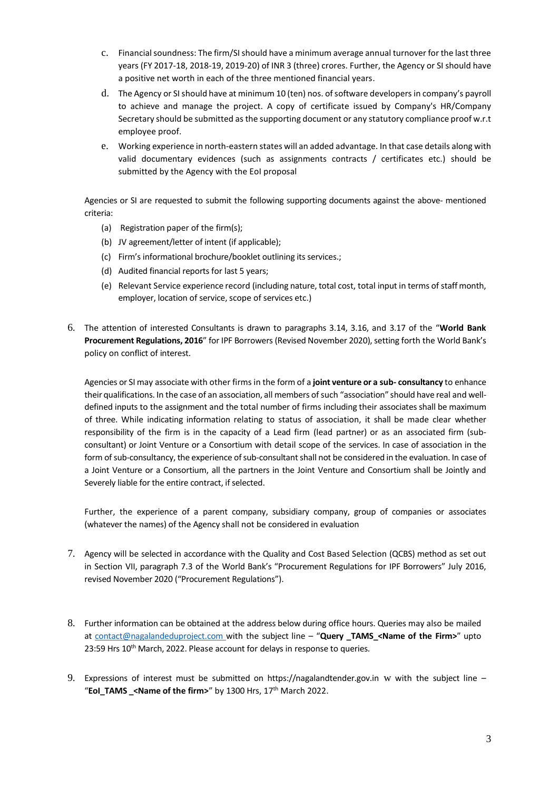- c. Financial soundness: The firm/SI should have a minimum average annual turnover for the last three years (FY 2017-18, 2018-19, 2019-20) of INR 3 (three) crores. Further, the Agency or SI should have a positive net worth in each of the three mentioned financial years.
- d. The Agency or SI should have at minimum 10 (ten) nos. of software developers in company's payroll to achieve and manage the project. A copy of certificate issued by Company's HR/Company Secretary should be submitted as the supporting document or any statutory compliance proof w.r.t employee proof.
- e. Working experience in north-eastern states will an added advantage. In that case details along with valid documentary evidences (such as assignments contracts / certificates etc.) should be submitted by the Agency with the EoI proposal

Agencies or SI are requested to submit the following supporting documents against the above- mentioned criteria:

- (a) Registration paper of the firm(s);
- (b) JV agreement/letter of intent (if applicable);
- (c) Firm's informational brochure/booklet outlining its services.;
- (d) Audited financial reports for last 5 years;
- (e) Relevant Service experience record (including nature, total cost, total input in terms of staff month, employer, location of service, scope of services etc.)
- 6. The attention of interested Consultants is drawn to paragraphs 3.14, 3.16, and 3.17 of the "**World Bank Procurement Regulations, 2016**" for IPF Borrowers (Revised November 2020), setting forth the World Bank's policy on conflict of interest.

Agencies or SI may associate with other firms in the form of a **joint venture or a sub- consultancy** to enhance their qualifications. In the case of an association, all members of such "association" should have real and welldefined inputs to the assignment and the total number of firms including their associates shall be maximum of three. While indicating information relating to status of association, it shall be made clear whether responsibility of the firm is in the capacity of a Lead firm (lead partner) or as an associated firm (subconsultant) or Joint Venture or a Consortium with detail scope of the services. In case of association in the form of sub-consultancy, the experience of sub-consultant shall not be considered in the evaluation. In case of a Joint Venture or a Consortium, all the partners in the Joint Venture and Consortium shall be Jointly and Severely liable for the entire contract, if selected.

Further, the experience of a parent company, subsidiary company, group of companies or associates (whatever the names) of the Agency shall not be considered in evaluation

- 7. Agency will be selected in accordance with the Quality and Cost Based Selection (QCBS) method as set out in Section VII, paragraph 7.3 of the World Bank's "Procurement Regulations for IPF Borrowers" July 2016, revised November 2020 ("Procurement Regulations").
- 8. Further information can be obtained at the address below during office hours. Queries may also be mailed at [contact@nagalandeduproject.com](mailto:lighthousenaga@gmail.com,) with the subject line – "**Query TAMS <Name of the Firm>**" upto 23:59 Hrs 10<sup>th</sup> March, 2022. Please account for delays in response to queries.
- 9. Expressions of interest must be submitted on https://nagalandtender.gov.in w with the subject line "**EoI\_TAMS \_<Name of the firm>**" by 1300 Hrs, 17th March 2022.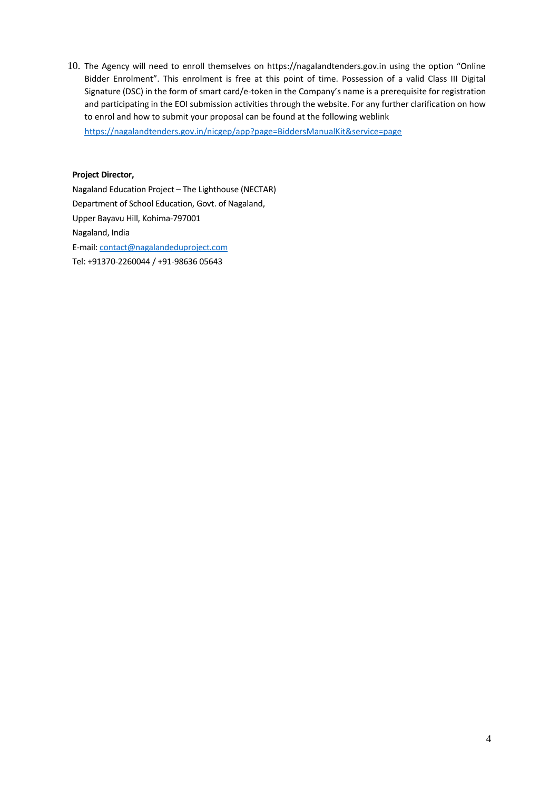10. The Agency will need to enroll themselves on https://nagalandtenders.gov.in using the option "Online Bidder Enrolment". This enrolment is free at this point of time. Possession of a valid Class III Digital Signature (DSC) in the form of smart card/e-token in the Company's name is a prerequisite for registration and participating in the EOI submission activities through the website. For any further clarification on how to enrol and how to submit your proposal can be found at the following weblink

<https://nagalandtenders.gov.in/nicgep/app?page=BiddersManualKit&service=page>

## **Project Director,**

Nagaland Education Project – The Lighthouse (NECTAR) Department of School Education, Govt. of Nagaland, Upper Bayavu Hill, Kohima-797001 Nagaland, India E-mail[: contact@nagalandeduproject.com](mailto:contact@nagalandeduproject.com) Tel: +91370-2260044 / +91-98636 05643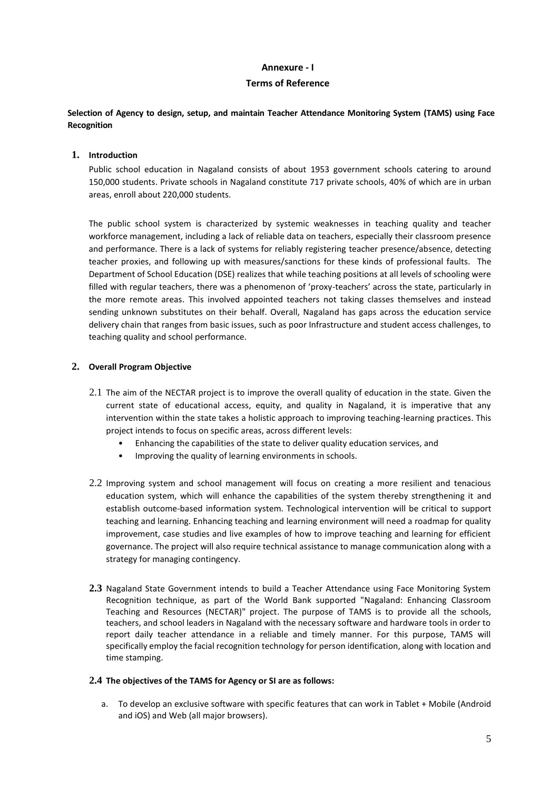## **Annexure - I**

## **Terms of Reference**

**Selection of Agency to design, setup, and maintain Teacher Attendance Monitoring System (TAMS) using Face Recognition**

## **1. Introduction**

Public school education in Nagaland consists of about 1953 government schools catering to around 150,000 students. Private schools in Nagaland constitute 717 private schools, 40% of which are in urban areas, enroll about 220,000 students.

The public school system is characterized by systemic weaknesses in teaching quality and teacher workforce management, including a lack of reliable data on teachers, especially their classroom presence and performance. There is a lack of systems for reliably registering teacher presence/absence, detecting teacher proxies, and following up with measures/sanctions for these kinds of professional faults. The Department of School Education (DSE) realizes that while teaching positions at all levels of schooling were filled with regular teachers, there was a phenomenon of 'proxy-teachers' across the state, particularly in the more remote areas. This involved appointed teachers not taking classes themselves and instead sending unknown substitutes on their behalf. Overall, Nagaland has gaps across the education service delivery chain that ranges from basic issues, such as poor Infrastructure and student access challenges, to teaching quality and school performance.

## **2. Overall Program Objective**

- 2.1 The aim of the NECTAR project is to improve the overall quality of education in the state. Given the current state of educational access, equity, and quality in Nagaland, it is imperative that any intervention within the state takes a holistic approach to improving teaching-learning practices. This project intends to focus on specific areas, across different levels:
	- Enhancing the capabilities of the state to deliver quality education services, and
	- Improving the quality of learning environments in schools.
- 2.2 Improving system and school management will focus on creating a more resilient and tenacious education system, which will enhance the capabilities of the system thereby strengthening it and establish outcome-based information system. Technological intervention will be critical to support teaching and learning. Enhancing teaching and learning environment will need a roadmap for quality improvement, case studies and live examples of how to improve teaching and learning for efficient governance. The project will also require technical assistance to manage communication along with a strategy for managing contingency.
- **2.3** Nagaland State Government intends to build a Teacher Attendance using Face Monitoring System Recognition technique, as part of the World Bank supported "Nagaland: Enhancing Classroom Teaching and Resources (NECTAR)" project. The purpose of TAMS is to provide all the schools, teachers, and school leaders in Nagaland with the necessary software and hardware tools in order to report daily teacher attendance in a reliable and timely manner. For this purpose, TAMS will specifically employ the facial recognition technology for person identification, along with location and time stamping.

## **2.4 The objectives of the TAMS for Agency or SI are as follows:**

a. To develop an exclusive software with specific features that can work in Tablet + Mobile (Android and iOS) and Web (all major browsers).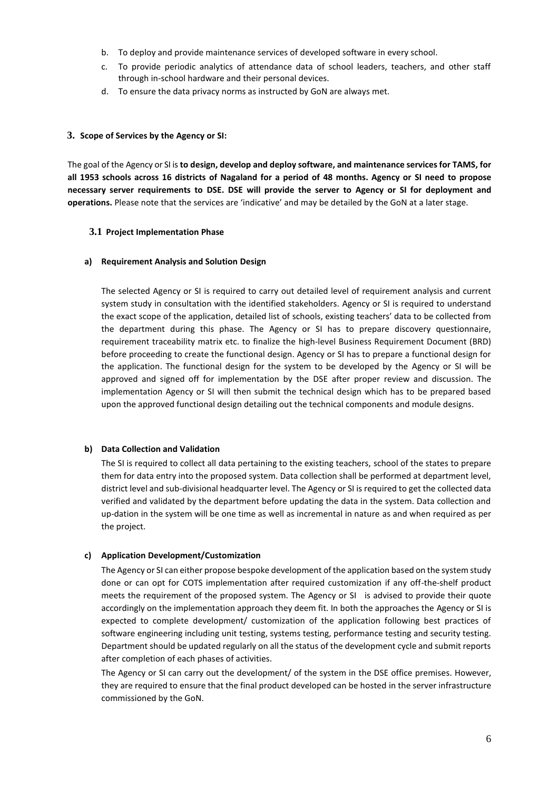- b. To deploy and provide maintenance services of developed software in every school.
- c. To provide periodic analytics of attendance data of school leaders, teachers, and other staff through in-school hardware and their personal devices.
- d. To ensure the data privacy norms as instructed by GoN are always met.

## **3. Scope of Services by the Agency or SI:**

The goal of the Agency or SI is **to design, develop and deploy software, and maintenance services for TAMS, for all 1953 schools across 16 districts of Nagaland for a period of 48 months. Agency or SI need to propose necessary server requirements to DSE. DSE will provide the server to Agency or SI for deployment and operations.** Please note that the services are 'indicative' and may be detailed by the GoN at a later stage.

## **3.1 Project Implementation Phase**

#### **a) Requirement Analysis and Solution Design**

The selected Agency or SI is required to carry out detailed level of requirement analysis and current system study in consultation with the identified stakeholders. Agency or SI is required to understand the exact scope of the application, detailed list of schools, existing teachers' data to be collected from the department during this phase. The Agency or SI has to prepare discovery questionnaire, requirement traceability matrix etc. to finalize the high-level Business Requirement Document (BRD) before proceeding to create the functional design. Agency or SI has to prepare a functional design for the application. The functional design for the system to be developed by the Agency or SI will be approved and signed off for implementation by the DSE after proper review and discussion. The implementation Agency or SI will then submit the technical design which has to be prepared based upon the approved functional design detailing out the technical components and module designs.

## **b) Data Collection and Validation**

The SI is required to collect all data pertaining to the existing teachers, school of the states to prepare them for data entry into the proposed system. Data collection shall be performed at department level, district level and sub-divisional headquarter level. The Agency or SI is required to get the collected data verified and validated by the department before updating the data in the system. Data collection and up-dation in the system will be one time as well as incremental in nature as and when required as per the project.

## **c) Application Development/Customization**

The Agency or SI can either propose bespoke development of the application based on the system study done or can opt for COTS implementation after required customization if any off-the-shelf product meets the requirement of the proposed system. The Agency or SI is advised to provide their quote accordingly on the implementation approach they deem fit. In both the approaches the Agency or SI is expected to complete development/ customization of the application following best practices of software engineering including unit testing, systems testing, performance testing and security testing. Department should be updated regularly on all the status of the development cycle and submit reports after completion of each phases of activities.

The Agency or SI can carry out the development/ of the system in the DSE office premises. However, they are required to ensure that the final product developed can be hosted in the server infrastructure commissioned by the GoN.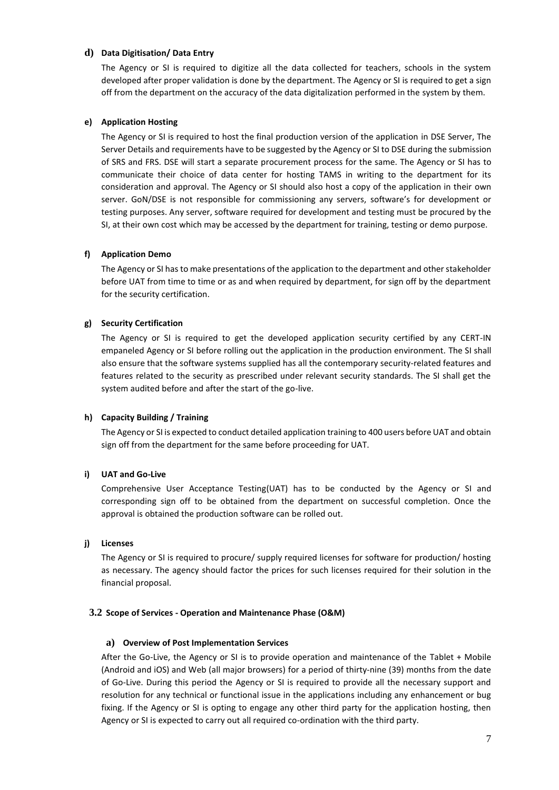### **d) Data Digitisation/ Data Entry**

The Agency or SI is required to digitize all the data collected for teachers, schools in the system developed after proper validation is done by the department. The Agency or SI is required to get a sign off from the department on the accuracy of the data digitalization performed in the system by them.

#### **e) Application Hosting**

The Agency or SI is required to host the final production version of the application in DSE Server, The Server Details and requirements have to be suggested by the Agency or SI to DSE during the submission of SRS and FRS. DSE will start a separate procurement process for the same. The Agency or SI has to communicate their choice of data center for hosting TAMS in writing to the department for its consideration and approval. The Agency or SI should also host a copy of the application in their own server. GoN/DSE is not responsible for commissioning any servers, software's for development or testing purposes. Any server, software required for development and testing must be procured by the SI, at their own cost which may be accessed by the department for training, testing or demo purpose.

#### **f) Application Demo**

The Agency or SI has to make presentations of the application to the department and other stakeholder before UAT from time to time or as and when required by department, for sign off by the department for the security certification.

## **g) Security Certification**

The Agency or SI is required to get the developed application security certified by any CERT-IN empaneled Agency or SI before rolling out the application in the production environment. The SI shall also ensure that the software systems supplied has all the contemporary security-related features and features related to the security as prescribed under relevant security standards. The SI shall get the system audited before and after the start of the go-live.

#### **h) Capacity Building / Training**

The Agency or SI is expected to conduct detailed application training to 400 users before UAT and obtain sign off from the department for the same before proceeding for UAT.

## **i) UAT and Go-Live**

Comprehensive User Acceptance Testing(UAT) has to be conducted by the Agency or SI and corresponding sign off to be obtained from the department on successful completion. Once the approval is obtained the production software can be rolled out.

## **j) Licenses**

The Agency or SI is required to procure/ supply required licenses for software for production/ hosting as necessary. The agency should factor the prices for such licenses required for their solution in the financial proposal.

#### **3.2 Scope of Services - Operation and Maintenance Phase (O&M)**

#### **a) Overview of Post Implementation Services**

After the Go-Live, the Agency or SI is to provide operation and maintenance of the Tablet + Mobile (Android and iOS) and Web (all major browsers) for a period of thirty-nine (39) months from the date of Go-Live. During this period the Agency or SI is required to provide all the necessary support and resolution for any technical or functional issue in the applications including any enhancement or bug fixing. If the Agency or SI is opting to engage any other third party for the application hosting, then Agency or SI is expected to carry out all required co-ordination with the third party.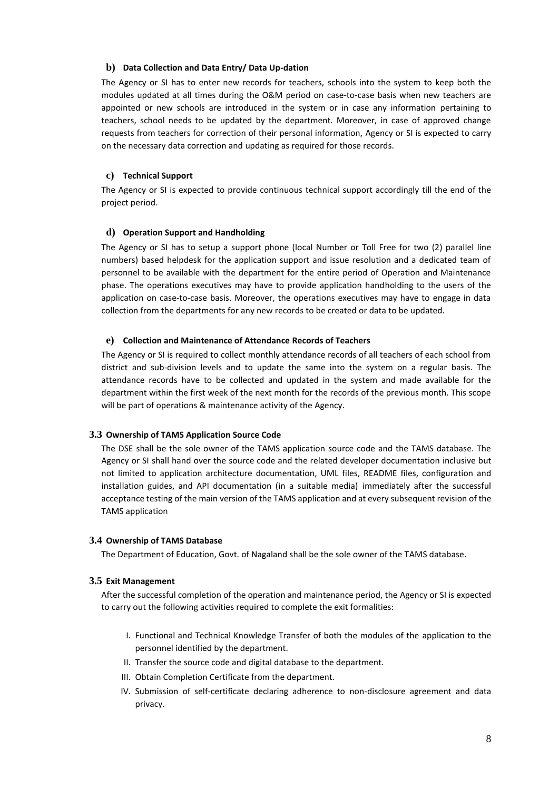#### **b) Data Collection and Data Entry/ Data Up-dation**

The Agency or SI has to enter new records for teachers, schools into the system to keep both the modules updated at all times during the O&M period on case-to-case basis when new teachers are appointed or new schools are introduced in the system or in case any information pertaining to teachers, school needs to be updated by the department. Moreover, in case of approved change requests from teachers for correction of their personal information, Agency or SI is expected to carry on the necessary data correction and updating as required for those records.

#### **c) Technical Support**

The Agency or SI is expected to provide continuous technical support accordingly till the end of the project period.

#### **d) Operation Support and Handholding**

The Agency or SI has to setup a support phone (local Number or Toll Free for two (2) parallel line numbers) based helpdesk for the application support and issue resolution and a dedicated team of personnel to be available with the department for the entire period of Operation and Maintenance phase. The operations executives may have to provide application handholding to the users of the application on case-to-case basis. Moreover, the operations executives may have to engage in data collection from the departments for any new records to be created or data to be updated.

#### **e) Collection and Maintenance of Attendance Records of Teachers**

The Agency or SI is required to collect monthly attendance records of all teachers of each school from district and sub-division levels and to update the same into the system on a regular basis. The attendance records have to be collected and updated in the system and made available for the department within the first week of the next month for the records of the previous month. This scope will be part of operations & maintenance activity of the Agency.

## **3.3 Ownership of TAMS Application Source Code**

The DSE shall be the sole owner of the TAMS application source code and the TAMS database. The Agency or SI shall hand over the source code and the related developer documentation inclusive but not limited to application architecture documentation, UML files, README files, configuration and installation guides, and API documentation (in a suitable media) immediately after the successful acceptance testing of the main version of the TAMS application and at every subsequent revision of the TAMS application

## **3.4 Ownership of TAMS Database**

The Department of Education, Govt. of Nagaland shall be the sole owner of the TAMS database.

#### **3.5 Exit Management**

After the successful completion of the operation and maintenance period, the Agency or SI is expected to carry out the following activities required to complete the exit formalities:

- I. Functional and Technical Knowledge Transfer of both the modules of the application to the personnel identified by the department.
- II. Transfer the source code and digital database to the department.
- III. Obtain Completion Certificate from the department.
- IV. Submission of self-certificate declaring adherence to non-disclosure agreement and data privacy.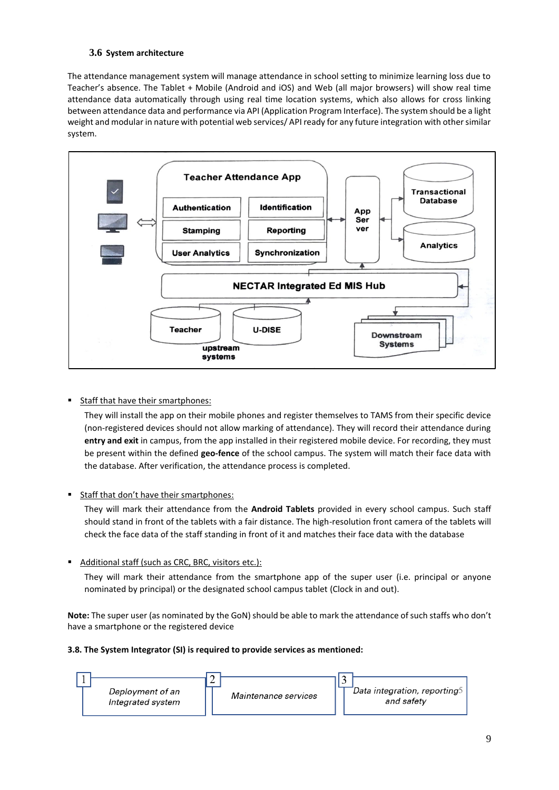## **3.6 System architecture**

The attendance management system will manage attendance in school setting to minimize learning loss due to Teacher's absence. The Tablet + Mobile (Android and iOS) and Web (all major browsers) will show real time attendance data automatically through using real time location systems, which also allows for cross linking between attendance data and performance via API (Application Program Interface). The system should be a light weight and modular in nature with potential web services/ API ready for any future integration with other similar system.



## ■ Staff that have their smartphones:

They will install the app on their mobile phones and register themselves to TAMS from their specific device (non-registered devices should not allow marking of attendance). They will record their attendance during **entry and exit** in campus, from the app installed in their registered mobile device. For recording, they must be present within the defined **geo-fence** of the school campus. The system will match their face data with the database. After verification, the attendance process is completed.

■ Staff that don't have their smartphones:

They will mark their attendance from the **Android Tablets** provided in every school campus. Such staff should stand in front of the tablets with a fair distance. The high-resolution front camera of the tablets will check the face data of the staff standing in front of it and matches their face data with the database

■ Additional staff (such as CRC, BRC, visitors etc.):

They will mark their attendance from the smartphone app of the super user (i.e. principal or anyone nominated by principal) or the designated school campus tablet (Clock in and out).

**Note:** The super user (as nominated by the GoN) should be able to mark the attendance of such staffs who don't have a smartphone or the registered device

## **3.8. The System Integrator (SI) is required to provide services as mentioned:**

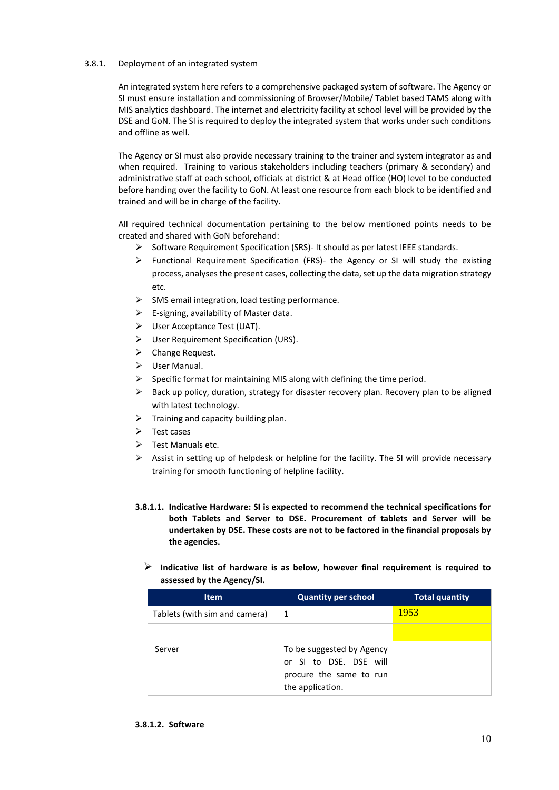## 3.8.1. Deployment of an integrated system

An integrated system here refers to a comprehensive packaged system of software. The Agency or SI must ensure installation and commissioning of Browser/Mobile/ Tablet based TAMS along with MIS analytics dashboard. The internet and electricity facility at school level will be provided by the DSE and GoN. The SI is required to deploy the integrated system that works under such conditions and offline as well.

The Agency or SI must also provide necessary training to the trainer and system integrator as and when required. Training to various stakeholders including teachers (primary & secondary) and administrative staff at each school, officials at district & at Head office (HO) level to be conducted before handing over the facility to GoN. At least one resource from each block to be identified and trained and will be in charge of the facility.

All required technical documentation pertaining to the below mentioned points needs to be created and shared with GoN beforehand:

- ➢ Software Requirement Specification (SRS)- It should as per latest IEEE standards.
- $\triangleright$  Functional Requirement Specification (FRS)- the Agency or SI will study the existing process, analyses the present cases, collecting the data, set up the data migration strategy etc.
- ➢ SMS email integration, load testing performance.
- $\triangleright$  E-signing, availability of Master data.
- ➢ User Acceptance Test (UAT).
- ➢ User Requirement Specification (URS).
- ➢ Change Request.
- ➢ User Manual.
- Specific format for maintaining MIS along with defining the time period.
- Back up policy, duration, strategy for disaster recovery plan. Recovery plan to be aligned with latest technology.
- $\triangleright$  Training and capacity building plan.
- ➢ Test cases
- $\triangleright$  Test Manuals etc.
- $\triangleright$  Assist in setting up of helpdesk or helpline for the facility. The SI will provide necessary training for smooth functioning of helpline facility.
- **3.8.1.1. Indicative Hardware: SI is expected to recommend the technical specifications for both Tablets and Server to DSE. Procurement of tablets and Server will be undertaken by DSE. These costs are not to be factored in the financial proposals by the agencies.** 
	- ➢ **Indicative list of hardware is as below, however final requirement is required to assessed by the Agency/SI.**

| <b>Item</b>                   | <b>Quantity per school</b>                                                                         | <b>Total quantity</b> |
|-------------------------------|----------------------------------------------------------------------------------------------------|-----------------------|
| Tablets (with sim and camera) | 1                                                                                                  | 1953                  |
|                               |                                                                                                    |                       |
| Server                        | To be suggested by Agency<br>or SI to DSE. DSE will<br>procure the same to run<br>the application. |                       |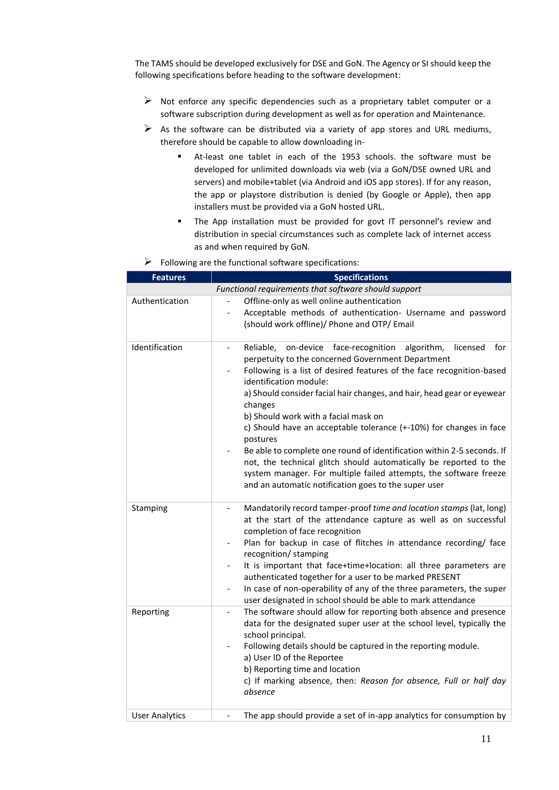The TAMS should be developed exclusively for DSE and GoN. The Agency or SI should keep the following specifications before heading to the software development:

- $\triangleright$  Not enforce any specific dependencies such as a proprietary tablet computer or a software subscription during development as well as for operation and Maintenance.
- $\triangleright$  As the software can be distributed via a variety of app stores and URL mediums, therefore should be capable to allow downloading in-
	- At-least one tablet in each of the 1953 schools. the software must be developed for unlimited downloads via web (via a GoN/DSE owned URL and servers) and mobile+tablet (via Android and iOS app stores). If for any reason, the app or playstore distribution is denied (by Google or Apple), then app installers must be provided via a GoN hosted URL.
	- The App installation must be provided for govt IT personnel's review and distribution in special circumstances such as complete lack of internet access as and when required by GoN.

| <b>Features</b>       | <b>Specifications</b>                                                                                                                                                                                                                                                                                                                                                                                                                                                                                                                                                                                                                                                                                                                                                         |  |  |  |
|-----------------------|-------------------------------------------------------------------------------------------------------------------------------------------------------------------------------------------------------------------------------------------------------------------------------------------------------------------------------------------------------------------------------------------------------------------------------------------------------------------------------------------------------------------------------------------------------------------------------------------------------------------------------------------------------------------------------------------------------------------------------------------------------------------------------|--|--|--|
|                       | Functional requirements that software should support                                                                                                                                                                                                                                                                                                                                                                                                                                                                                                                                                                                                                                                                                                                          |  |  |  |
| Authentication        | Offline-only as well online authentication<br>Acceptable methods of authentication- Username and password<br>(should work offline)/ Phone and OTP/ Email                                                                                                                                                                                                                                                                                                                                                                                                                                                                                                                                                                                                                      |  |  |  |
| Identification        | Reliable, on-device face-recognition algorithm,<br>licensed<br>for<br>$\overline{\phantom{a}}$<br>perpetuity to the concerned Government Department<br>Following is a list of desired features of the face recognition-based<br>$\overline{\phantom{a}}$<br>identification module:<br>a) Should consider facial hair changes, and hair, head gear or eyewear<br>changes<br>b) Should work with a facial mask on<br>c) Should have an acceptable tolerance (+-10%) for changes in face<br>postures<br>Be able to complete one round of identification within 2-5 seconds. If<br>not, the technical glitch should automatically be reported to the<br>system manager. For multiple failed attempts, the software freeze<br>and an automatic notification goes to the super user |  |  |  |
| Stamping              | Mandatorily record tamper-proof time and location stamps (lat, long)<br>$\overline{\phantom{a}}$<br>at the start of the attendance capture as well as on successful<br>completion of face recognition<br>Plan for backup in case of flitches in attendance recording/ face<br>recognition/ stamping<br>It is important that face+time+location: all three parameters are<br>authenticated together for a user to be marked PRESENT<br>In case of non-operability of any of the three parameters, the super<br>user designated in school should be able to mark attendance                                                                                                                                                                                                     |  |  |  |
| Reporting             | The software should allow for reporting both absence and presence<br>data for the designated super user at the school level, typically the<br>school principal.<br>Following details should be captured in the reporting module.<br>a) User ID of the Reportee<br>b) Reporting time and location<br>c) If marking absence, then: Reason for absence, Full or half day<br>absence                                                                                                                                                                                                                                                                                                                                                                                              |  |  |  |
| <b>User Analytics</b> | The app should provide a set of in-app analytics for consumption by                                                                                                                                                                                                                                                                                                                                                                                                                                                                                                                                                                                                                                                                                                           |  |  |  |

 $\triangleright$  Following are the functional software specifications: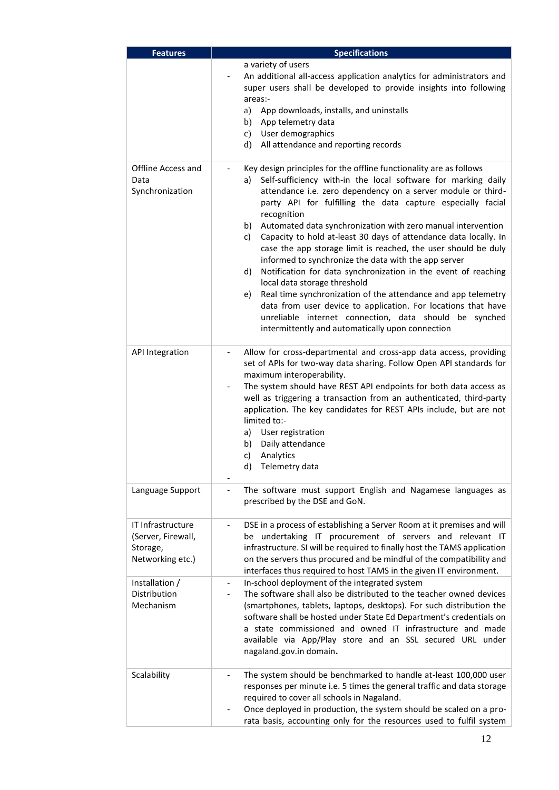| <b>Features</b>                                                         | <b>Specifications</b>                                                                                                                                                                                                                                                                                                                                                                                                                                                                                                                                                                                                                                                                                                                                                                                                                                                                                                           |  |  |  |
|-------------------------------------------------------------------------|---------------------------------------------------------------------------------------------------------------------------------------------------------------------------------------------------------------------------------------------------------------------------------------------------------------------------------------------------------------------------------------------------------------------------------------------------------------------------------------------------------------------------------------------------------------------------------------------------------------------------------------------------------------------------------------------------------------------------------------------------------------------------------------------------------------------------------------------------------------------------------------------------------------------------------|--|--|--|
|                                                                         | a variety of users<br>An additional all-access application analytics for administrators and<br>super users shall be developed to provide insights into following<br>areas:-<br>App downloads, installs, and uninstalls<br>a)<br>App telemetry data<br>b)<br>User demographics<br>c)<br>All attendance and reporting records<br>$\mathbf{d}$                                                                                                                                                                                                                                                                                                                                                                                                                                                                                                                                                                                     |  |  |  |
| Offline Access and<br>Data<br>Synchronization                           | Key design principles for the offline functionality are as follows<br>Self-sufficiency with-in the local software for marking daily<br>a)<br>attendance i.e. zero dependency on a server module or third-<br>party API for fulfilling the data capture especially facial<br>recognition<br>Automated data synchronization with zero manual intervention<br>b)<br>Capacity to hold at-least 30 days of attendance data locally. In<br>c)<br>case the app storage limit is reached, the user should be duly<br>informed to synchronize the data with the app server<br>Notification for data synchronization in the event of reaching<br>d)<br>local data storage threshold<br>Real time synchronization of the attendance and app telemetry<br>e)<br>data from user device to application. For locations that have<br>unreliable internet connection, data should be synched<br>intermittently and automatically upon connection |  |  |  |
| <b>API Integration</b>                                                  | Allow for cross-departmental and cross-app data access, providing<br>set of APIs for two-way data sharing. Follow Open API standards for<br>maximum interoperability.<br>The system should have REST API endpoints for both data access as<br>well as triggering a transaction from an authenticated, third-party<br>application. The key candidates for REST APIs include, but are not<br>limited to:-<br>a) User registration<br>b) Daily attendance<br>Analytics<br>c)<br>d) Telemetry data                                                                                                                                                                                                                                                                                                                                                                                                                                  |  |  |  |
| Language Support                                                        | The software must support English and Nagamese languages as<br>prescribed by the DSE and GoN.                                                                                                                                                                                                                                                                                                                                                                                                                                                                                                                                                                                                                                                                                                                                                                                                                                   |  |  |  |
| IT Infrastructure<br>(Server, Firewall,<br>Storage,<br>Networking etc.) | DSE in a process of establishing a Server Room at it premises and will<br>$\overline{\phantom{0}}$<br>be undertaking IT procurement of servers and relevant IT<br>infrastructure. SI will be required to finally host the TAMS application<br>on the servers thus procured and be mindful of the compatibility and<br>interfaces thus required to host TAMS in the given IT environment.                                                                                                                                                                                                                                                                                                                                                                                                                                                                                                                                        |  |  |  |
| Installation /<br>Distribution<br>Mechanism                             | In-school deployment of the integrated system<br>$\overline{\phantom{0}}$<br>The software shall also be distributed to the teacher owned devices<br>(smartphones, tablets, laptops, desktops). For such distribution the<br>software shall be hosted under State Ed Department's credentials on<br>a state commissioned and owned IT infrastructure and made<br>available via App/Play store and an SSL secured URL under<br>nagaland.gov.in domain.                                                                                                                                                                                                                                                                                                                                                                                                                                                                            |  |  |  |
| Scalability                                                             | The system should be benchmarked to handle at-least 100,000 user<br>responses per minute i.e. 5 times the general traffic and data storage<br>required to cover all schools in Nagaland.<br>Once deployed in production, the system should be scaled on a pro-<br>rata basis, accounting only for the resources used to fulfil system                                                                                                                                                                                                                                                                                                                                                                                                                                                                                                                                                                                           |  |  |  |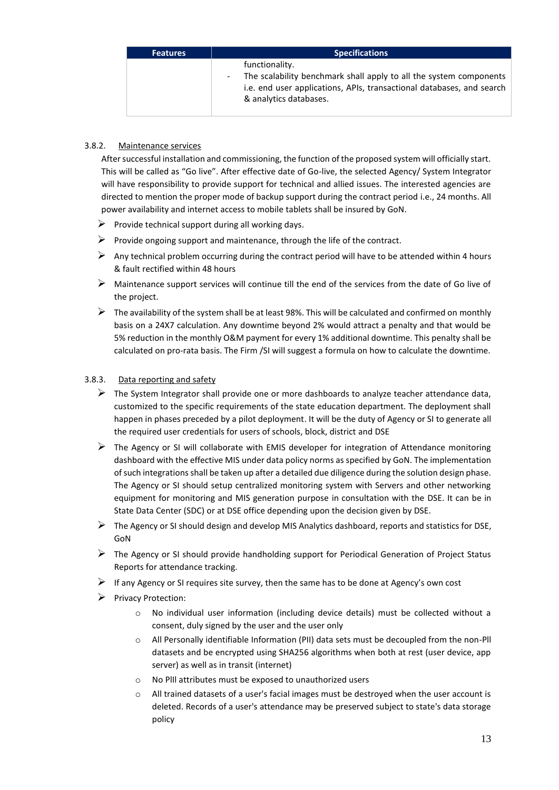| <b>Features</b> | <b>Specifications</b>                                                                                                                                                                                               |  |  |
|-----------------|---------------------------------------------------------------------------------------------------------------------------------------------------------------------------------------------------------------------|--|--|
|                 | functionality.<br>The scalability benchmark shall apply to all the system components<br>$\overline{\phantom{a}}$<br>i.e. end user applications, APIs, transactional databases, and search<br>& analytics databases. |  |  |

# 3.8.2. Maintenance services

After successful installation and commissioning, the function of the proposed system will officially start. This will be called as "Go live". After effective date of Go-live, the selected Agency/ System Integrator will have responsibility to provide support for technical and allied issues. The interested agencies are directed to mention the proper mode of backup support during the contract period i.e., 24 months. All power availability and internet access to mobile tablets shall be insured by GoN.

- $\triangleright$  Provide technical support during all working days.
- $\triangleright$  Provide ongoing support and maintenance, through the life of the contract.
- $\triangleright$  Any technical problem occurring during the contract period will have to be attended within 4 hours & fault rectified within 48 hours
- $\triangleright$  Maintenance support services will continue till the end of the services from the date of Go live of the project.
- $\triangleright$  The availability of the system shall be at least 98%. This will be calculated and confirmed on monthly basis on a 24X7 calculation. Any downtime beyond 2% would attract a penalty and that would be 5% reduction in the monthly O&M payment for every 1% additional downtime. This penalty shall be calculated on pro-rata basis. The Firm /SI will suggest a formula on how to calculate the downtime.

## 3.8.3. Data reporting and safety

- ➢ The System Integrator shall provide one or more dashboards to analyze teacher attendance data, customized to the specific requirements of the state education department. The deployment shall happen in phases preceded by a pilot deployment. It will be the duty of Agency or SI to generate all the required user credentials for users of schools, block, district and DSE
- $\triangleright$  The Agency or SI will collaborate with EMIS developer for integration of Attendance monitoring dashboard with the effective MIS under data policy norms as specified by GoN. The implementation of such integrations shall be taken up after a detailed due diligence during the solution design phase. The Agency or SI should setup centralized monitoring system with Servers and other networking equipment for monitoring and MIS generation purpose in consultation with the DSE. It can be in State Data Center (SDC) or at DSE office depending upon the decision given by DSE.
- $\triangleright$  The Agency or SI should design and develop MIS Analytics dashboard, reports and statistics for DSE, GoN
- $\triangleright$  The Agency or SI should provide handholding support for Periodical Generation of Project Status Reports for attendance tracking.
- $\triangleright$  If any Agency or SI requires site survey, then the same has to be done at Agency's own cost
- ➢ Privacy Protection:
	- o No individual user information (including device details) must be collected without a consent, duly signed by the user and the user only
	- o All Personally identifiable Information (PII) data sets must be decoupled from the non-Pll datasets and be encrypted using SHA256 algorithms when both at rest (user device, app server) as well as in transit (internet)
	- o No PlIl attributes must be exposed to unauthorized users
	- $\circ$  All trained datasets of a user's facial images must be destroyed when the user account is deleted. Records of a user's attendance may be preserved subject to state's data storage policy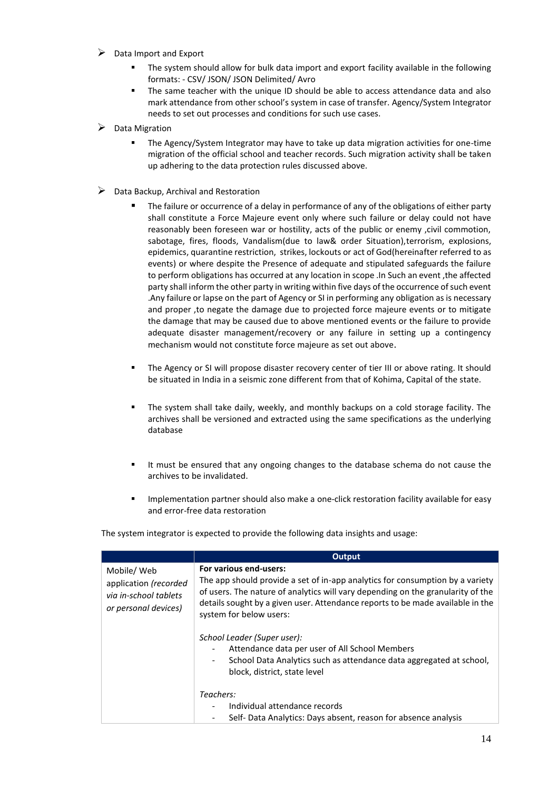- $\triangleright$  Data Import and Export
	- The system should allow for bulk data import and export facility available in the following formats: - CSV/ JSON/ JSON Delimited/ Avro
	- The same teacher with the unique ID should be able to access attendance data and also mark attendance from other school's system in case of transfer. Agency/System Integrator needs to set out processes and conditions for such use cases.
- ➢ Data Migration
	- The Agency/System Integrator may have to take up data migration activities for one-time migration of the official school and teacher records. Such migration activity shall be taken up adhering to the data protection rules discussed above.
- $\triangleright$  Data Backup, Archival and Restoration
	- The failure or occurrence of a delay in performance of any of the obligations of either party shall constitute a Force Majeure event only where such failure or delay could not have reasonably been foreseen war or hostility, acts of the public or enemy , civil commotion, sabotage, fires, floods, Vandalism(due to law& order Situation),terrorism, explosions, epidemics, quarantine restriction, strikes, lockouts or act of God(hereinafter referred to as events) or where despite the Presence of adequate and stipulated safeguards the failure to perform obligations has occurred at any location in scope .In Such an event ,the affected party shall inform the other party in writing within five days of the occurrence of such event .Any failure or lapse on the part of Agency or SI in performing any obligation as is necessary and proper ,to negate the damage due to projected force majeure events or to mitigate the damage that may be caused due to above mentioned events or the failure to provide adequate disaster management/recovery or any failure in setting up a contingency mechanism would not constitute force majeure as set out above.
	- **EXECT** The Agency or SI will propose disaster recovery center of tier III or above rating. It should be situated in India in a seismic zone different from that of Kohima, Capital of the state.
	- The system shall take daily, weekly, and monthly backups on a cold storage facility. The archives shall be versioned and extracted using the same specifications as the underlying database
	- It must be ensured that any ongoing changes to the database schema do not cause the archives to be invalidated.
	- **EXECT** Implementation partner should also make a one-click restoration facility available for easy and error-free data restoration

|                                                                                      | Output                                                                                                                                                                                                                                                                                                  |
|--------------------------------------------------------------------------------------|---------------------------------------------------------------------------------------------------------------------------------------------------------------------------------------------------------------------------------------------------------------------------------------------------------|
| Mobile/Web<br>application (recorded<br>via in-school tablets<br>or personal devices) | For various end-users:<br>The app should provide a set of in-app analytics for consumption by a variety<br>of users. The nature of analytics will vary depending on the granularity of the<br>details sought by a given user. Attendance reports to be made available in the<br>system for below users: |
|                                                                                      | School Leader (Super user):<br>Attendance data per user of All School Members<br>$\overline{\phantom{a}}$<br>School Data Analytics such as attendance data aggregated at school,<br>$\overline{\phantom{a}}$<br>block, district, state level                                                            |
|                                                                                      | Teachers:<br>Individual attendance records<br>Self-Data Analytics: Days absent, reason for absence analysis<br>$\overline{\phantom{a}}$                                                                                                                                                                 |

The system integrator is expected to provide the following data insights and usage: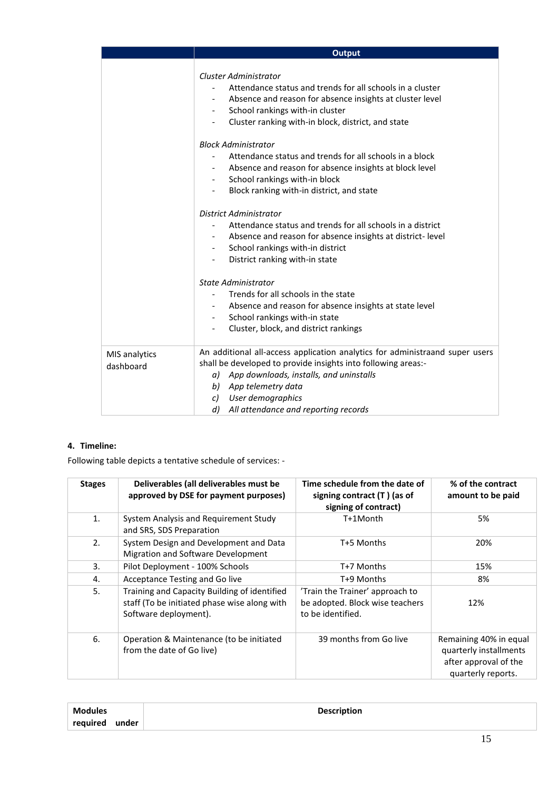|                            | <b>Output</b>                                                                                                                                                                                                                                                                                                                                                       |
|----------------------------|---------------------------------------------------------------------------------------------------------------------------------------------------------------------------------------------------------------------------------------------------------------------------------------------------------------------------------------------------------------------|
|                            | <b>Cluster Administrator</b><br>Attendance status and trends for all schools in a cluster<br>Absence and reason for absence insights at cluster level<br>School rankings with-in cluster<br>$\overline{\phantom{a}}$<br>Cluster ranking with-in block, district, and state<br><b>Block Administrator</b><br>Attendance status and trends for all schools in a block |
|                            | Absence and reason for absence insights at block level<br>School rankings with-in block<br>$-$<br>Block ranking with-in district, and state<br>$\overline{\phantom{a}}$                                                                                                                                                                                             |
|                            | District Administrator<br>Attendance status and trends for all schools in a district<br>Absence and reason for absence insights at district-level<br>School rankings with-in district<br>$\sim$<br>District ranking with-in state<br>$\overline{\phantom{0}}$                                                                                                       |
|                            | State Administrator<br>Trends for all schools in the state<br>Absence and reason for absence insights at state level<br>School rankings with-in state<br>Cluster, block, and district rankings<br>$\sim$                                                                                                                                                            |
| MIS analytics<br>dashboard | An additional all-access application analytics for administraand super users<br>shall be developed to provide insights into following areas:-<br>a) App downloads, installs, and uninstalls<br>b)<br>App telemetry data<br>User demographics<br>c)<br>All attendance and reporting records<br>d)                                                                    |

# **4. Timeline:**

Following table depicts a tentative schedule of services: -

| <b>Stages</b> | Deliverables (all deliverables must be<br>approved by DSE for payment purposes)                                       | Time schedule from the date of<br>signing contract $(T)$ (as of<br>signing of contract) | % of the contract<br>amount to be paid                                                          |
|---------------|-----------------------------------------------------------------------------------------------------------------------|-----------------------------------------------------------------------------------------|-------------------------------------------------------------------------------------------------|
| 1.            | System Analysis and Requirement Study<br>and SRS, SDS Preparation                                                     | T+1Month                                                                                | 5%                                                                                              |
| 2.            | System Design and Development and Data<br>Migration and Software Development                                          | T+5 Months                                                                              | 20%                                                                                             |
| 3.            | Pilot Deployment - 100% Schools                                                                                       | T+7 Months                                                                              | 15%                                                                                             |
| 4.            | Acceptance Testing and Go live                                                                                        | T+9 Months                                                                              | 8%                                                                                              |
| 5.            | Training and Capacity Building of identified<br>staff (To be initiated phase wise along with<br>Software deployment). | 'Train the Trainer' approach to<br>be adopted. Block wise teachers<br>to be identified. | 12%                                                                                             |
| 6.            | Operation & Maintenance (to be initiated<br>from the date of Go live)                                                 | 39 months from Go live                                                                  | Remaining 40% in equal<br>quarterly installments<br>after approval of the<br>quarterly reports. |

| <b>Modules</b>    | <b>Description</b> |
|-------------------|--------------------|
| under<br>required |                    |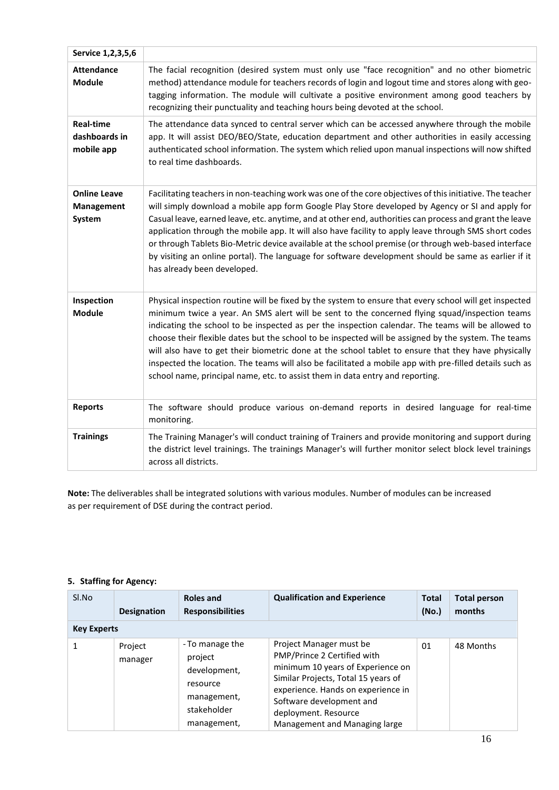| Service 1,2,3,5,6                               |                                                                                                                                                                                                                                                                                                                                                                                                                                                                                                                                                                                                                                                                                                                           |
|-------------------------------------------------|---------------------------------------------------------------------------------------------------------------------------------------------------------------------------------------------------------------------------------------------------------------------------------------------------------------------------------------------------------------------------------------------------------------------------------------------------------------------------------------------------------------------------------------------------------------------------------------------------------------------------------------------------------------------------------------------------------------------------|
| <b>Attendance</b><br><b>Module</b>              | The facial recognition (desired system must only use "face recognition" and no other biometric<br>method) attendance module for teachers records of login and logout time and stores along with geo-<br>tagging information. The module will cultivate a positive environment among good teachers by<br>recognizing their punctuality and teaching hours being devoted at the school.                                                                                                                                                                                                                                                                                                                                     |
| <b>Real-time</b><br>dashboards in<br>mobile app | The attendance data synced to central server which can be accessed anywhere through the mobile<br>app. It will assist DEO/BEO/State, education department and other authorities in easily accessing<br>authenticated school information. The system which relied upon manual inspections will now shifted<br>to real time dashboards.                                                                                                                                                                                                                                                                                                                                                                                     |
| <b>Online Leave</b><br>Management<br>System     | Facilitating teachers in non-teaching work was one of the core objectives of this initiative. The teacher<br>will simply download a mobile app form Google Play Store developed by Agency or SI and apply for<br>Casual leave, earned leave, etc. anytime, and at other end, authorities can process and grant the leave<br>application through the mobile app. It will also have facility to apply leave through SMS short codes<br>or through Tablets Bio-Metric device available at the school premise (or through web-based interface<br>by visiting an online portal). The language for software development should be same as earlier if it<br>has already been developed.                                          |
| Inspection<br><b>Module</b>                     | Physical inspection routine will be fixed by the system to ensure that every school will get inspected<br>minimum twice a year. An SMS alert will be sent to the concerned flying squad/inspection teams<br>indicating the school to be inspected as per the inspection calendar. The teams will be allowed to<br>choose their flexible dates but the school to be inspected will be assigned by the system. The teams<br>will also have to get their biometric done at the school tablet to ensure that they have physically<br>inspected the location. The teams will also be facilitated a mobile app with pre-filled details such as<br>school name, principal name, etc. to assist them in data entry and reporting. |
| <b>Reports</b>                                  | The software should produce various on-demand reports in desired language for real-time<br>monitoring.                                                                                                                                                                                                                                                                                                                                                                                                                                                                                                                                                                                                                    |
| <b>Trainings</b>                                | The Training Manager's will conduct training of Trainers and provide monitoring and support during<br>the district level trainings. The trainings Manager's will further monitor select block level trainings<br>across all districts.                                                                                                                                                                                                                                                                                                                                                                                                                                                                                    |

**Note:** The deliverables shall be integrated solutions with various modules. Number of modules can be increased as per requirement of DSE during the contract period.

# **5. Staffing for Agency:**

| Sl.No              | <b>Designation</b> | <b>Roles and</b><br><b>Responsibilities</b>                                                         | <b>Qualification and Experience</b>                                                                                                                                                                                                                           | <b>Total</b><br>(No.) | <b>Total person</b><br>months |
|--------------------|--------------------|-----------------------------------------------------------------------------------------------------|---------------------------------------------------------------------------------------------------------------------------------------------------------------------------------------------------------------------------------------------------------------|-----------------------|-------------------------------|
| <b>Key Experts</b> |                    |                                                                                                     |                                                                                                                                                                                                                                                               |                       |                               |
|                    | Project<br>manager | - To manage the<br>project<br>development,<br>resource<br>management,<br>stakeholder<br>management, | Project Manager must be<br>PMP/Prince 2 Certified with<br>minimum 10 years of Experience on<br>Similar Projects, Total 15 years of<br>experience. Hands on experience in<br>Software development and<br>deployment. Resource<br>Management and Managing large | 01                    | 48 Months                     |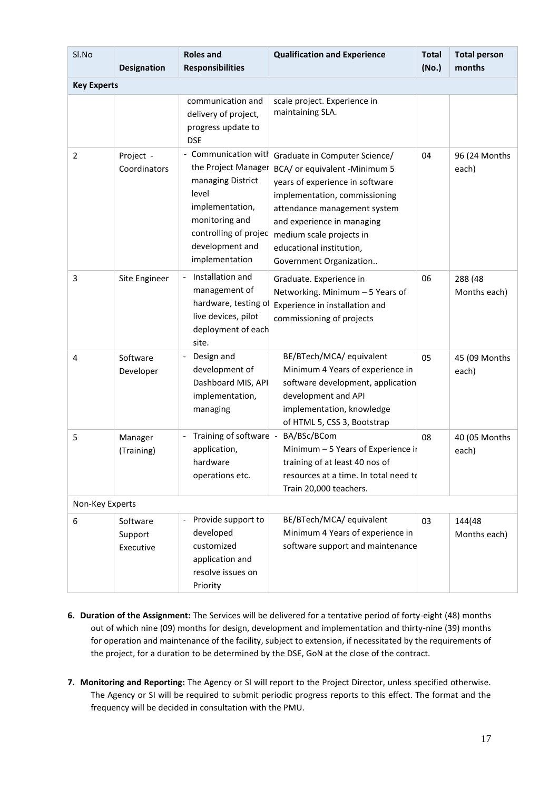| Sl.No           | <b>Designation</b>               | <b>Roles and</b><br><b>Responsibilities</b>                                                                                                                                  | <b>Qualification and Experience</b>                                                                                                                                                                                                                                                 | <b>Total</b><br>(No.) | <b>Total person</b><br>months |  |  |
|-----------------|----------------------------------|------------------------------------------------------------------------------------------------------------------------------------------------------------------------------|-------------------------------------------------------------------------------------------------------------------------------------------------------------------------------------------------------------------------------------------------------------------------------------|-----------------------|-------------------------------|--|--|
|                 | <b>Key Experts</b>               |                                                                                                                                                                              |                                                                                                                                                                                                                                                                                     |                       |                               |  |  |
|                 |                                  | communication and<br>delivery of project,<br>progress update to<br><b>DSE</b>                                                                                                | scale project. Experience in<br>maintaining SLA.                                                                                                                                                                                                                                    |                       |                               |  |  |
| $\overline{2}$  | Project -<br>Coordinators        | - Communication with<br>the Project Manager<br>managing District<br>level<br>implementation,<br>monitoring and<br>controlling of projec<br>development and<br>implementation | Graduate in Computer Science/<br>BCA/ or equivalent -Minimum 5<br>years of experience in software<br>implementation, commissioning<br>attendance management system<br>and experience in managing<br>medium scale projects in<br>educational institution,<br>Government Organization | 04                    | 96 (24 Months<br>each)        |  |  |
| 3               | Site Engineer                    | Installation and<br>management of<br>hardware, testing of<br>live devices, pilot<br>deployment of each<br>site.                                                              | Graduate. Experience in<br>Networking. Minimum - 5 Years of<br>Experience in installation and<br>commissioning of projects                                                                                                                                                          | 06                    | 288 (48<br>Months each)       |  |  |
| 4               | Software<br>Developer            | Design and<br>$\overline{\phantom{a}}$<br>development of<br>Dashboard MIS, API<br>implementation,<br>managing                                                                | BE/BTech/MCA/ equivalent<br>Minimum 4 Years of experience in<br>software development, application<br>development and API<br>implementation, knowledge<br>of HTML 5, CSS 3, Bootstrap                                                                                                | 05                    | 45 (09 Months<br>each)        |  |  |
| 5               | Manager<br>(Training)            | Training of software -<br>application,<br>hardware<br>operations etc.                                                                                                        | BA/BSc/BCom<br>Minimum - 5 Years of Experience ii<br>training of at least 40 nos of<br>resources at a time. In total need to<br>Train 20,000 teachers.                                                                                                                              | 08                    | 40 (05 Months<br>each)        |  |  |
| Non-Key Experts |                                  |                                                                                                                                                                              |                                                                                                                                                                                                                                                                                     |                       |                               |  |  |
| 6               | Software<br>Support<br>Executive | Provide support to<br>developed<br>customized<br>application and<br>resolve issues on<br>Priority                                                                            | BE/BTech/MCA/ equivalent<br>Minimum 4 Years of experience in<br>software support and maintenance                                                                                                                                                                                    | 03                    | 144(48<br>Months each)        |  |  |

- **6. Duration of the Assignment:** The Services will be delivered for a tentative period of forty-eight (48) months out of which nine (09) months for design, development and implementation and thirty-nine (39) months for operation and maintenance of the facility, subject to extension, if necessitated by the requirements of the project, for a duration to be determined by the DSE, GoN at the close of the contract.
- **7. Monitoring and Reporting:** The Agency or SI will report to the Project Director, unless specified otherwise. The Agency or SI will be required to submit periodic progress reports to this effect. The format and the frequency will be decided in consultation with the PMU.